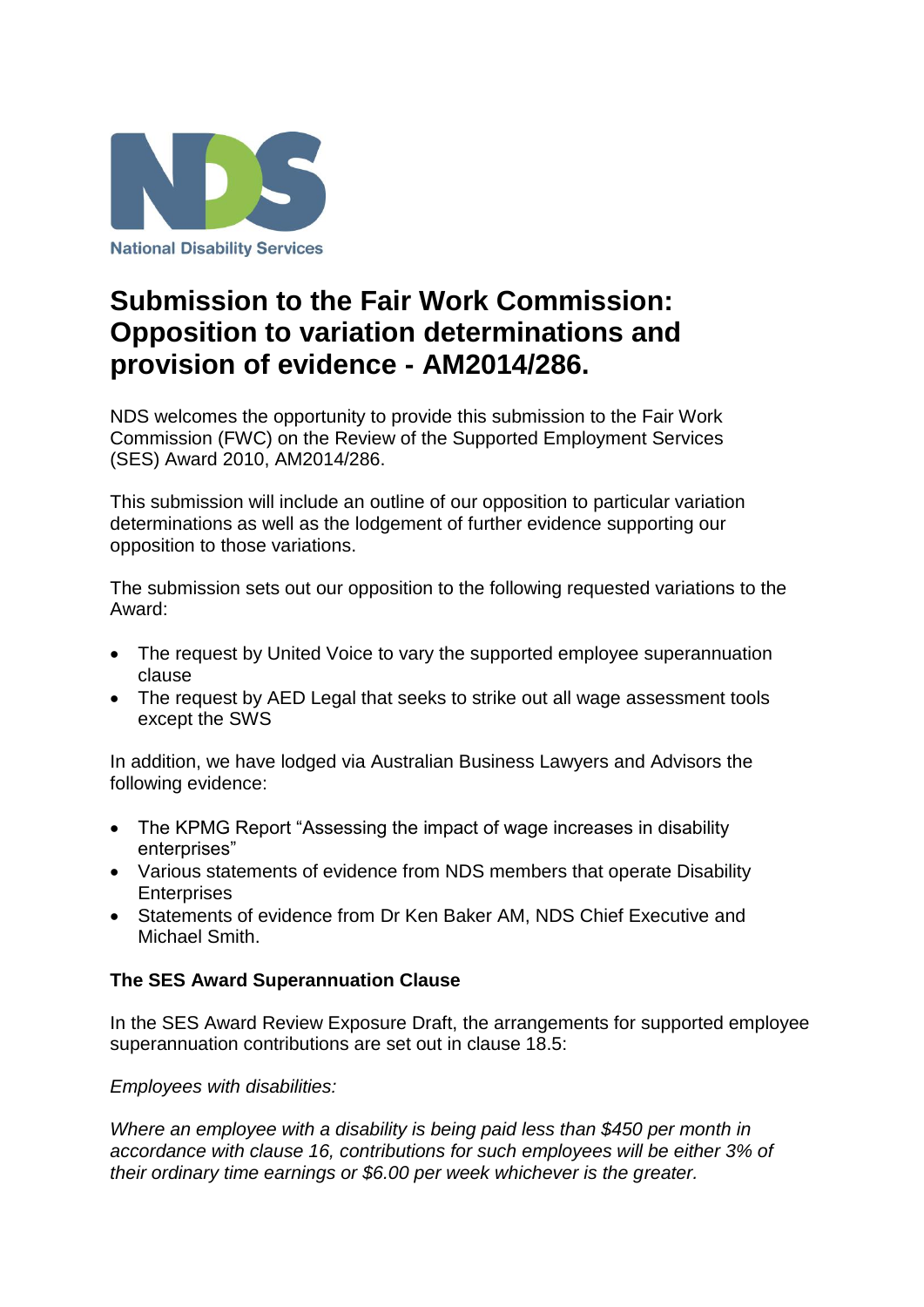

## **Submission to the Fair Work Commission: Opposition to variation determinations and provision of evidence - AM2014/286.**

NDS welcomes the opportunity to provide this submission to the Fair Work Commission (FWC) on the Review of the Supported Employment Services (SES) Award 2010, AM2014/286.

This submission will include an outline of our opposition to particular variation determinations as well as the lodgement of further evidence supporting our opposition to those variations.

The submission sets out our opposition to the following requested variations to the Award:

- The request by United Voice to vary the supported employee superannuation clause
- The request by AED Legal that seeks to strike out all wage assessment tools except the SWS

In addition, we have lodged via Australian Business Lawyers and Advisors the following evidence:

- The KPMG Report "Assessing the impact of wage increases in disability enterprises"
- Various statements of evidence from NDS members that operate Disability **Enterprises**
- Statements of evidence from Dr Ken Baker AM, NDS Chief Executive and Michael Smith.

## **The SES Award Superannuation Clause**

In the SES Award Review Exposure Draft, the arrangements for supported employee superannuation contributions are set out in clause 18.5:

*Employees with disabilities:*

*Where an employee with a disability is being paid less than \$450 per month in accordance with clause 16, contributions for such employees will be either 3% of their ordinary time earnings or \$6.00 per week whichever is the greater.*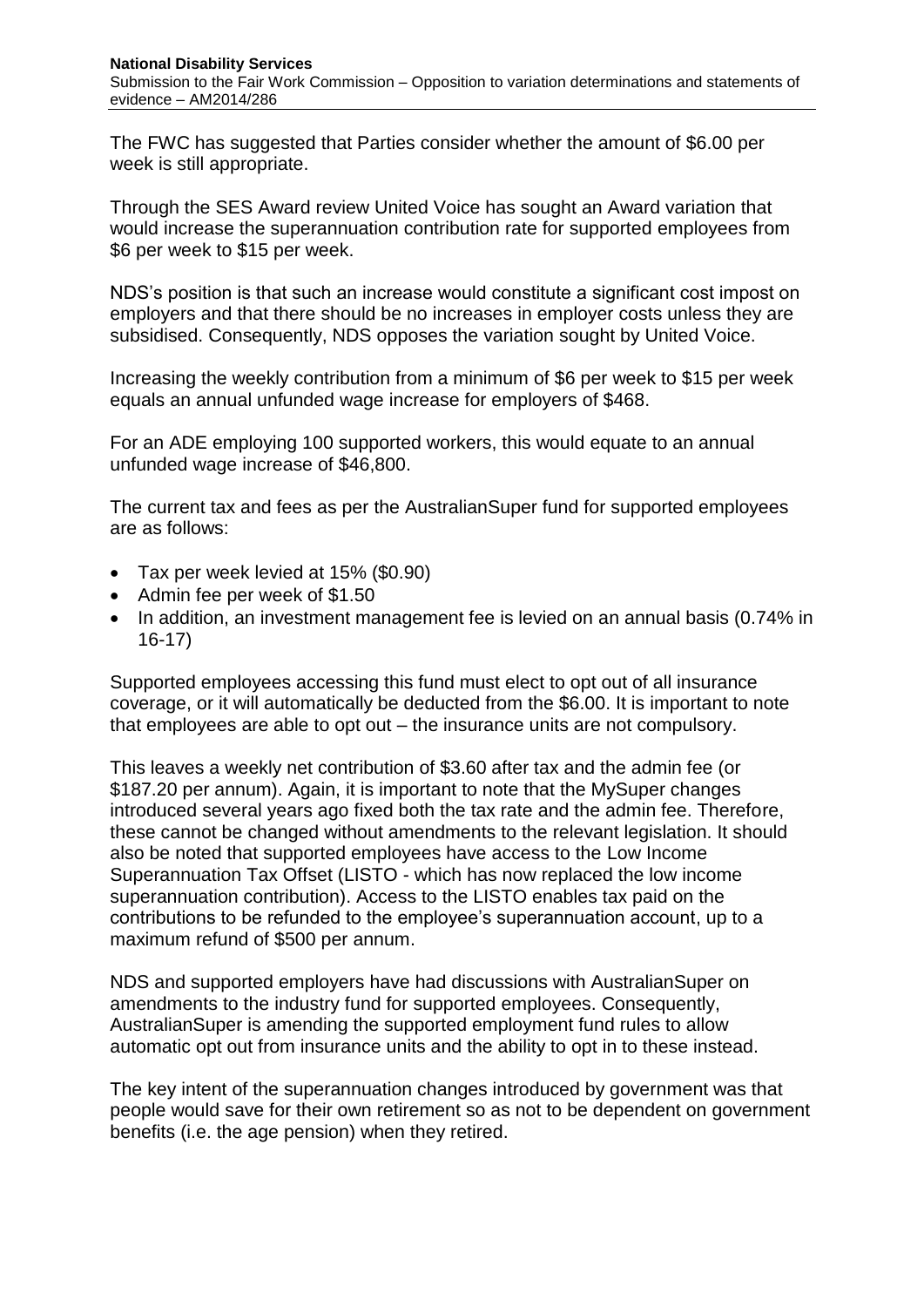The FWC has suggested that Parties consider whether the amount of \$6.00 per week is still appropriate.

Through the SES Award review United Voice has sought an Award variation that would increase the superannuation contribution rate for supported employees from \$6 per week to \$15 per week.

NDS's position is that such an increase would constitute a significant cost impost on employers and that there should be no increases in employer costs unless they are subsidised. Consequently, NDS opposes the variation sought by United Voice.

Increasing the weekly contribution from a minimum of \$6 per week to \$15 per week equals an annual unfunded wage increase for employers of \$468.

For an ADE employing 100 supported workers, this would equate to an annual unfunded wage increase of \$46,800.

The current tax and fees as per the AustralianSuper fund for supported employees are as follows:

- Tax per week levied at 15% (\$0.90)
- Admin fee per week of \$1.50
- In addition, an investment management fee is levied on an annual basis (0.74% in 16-17)

Supported employees accessing this fund must elect to opt out of all insurance coverage, or it will automatically be deducted from the \$6.00. It is important to note that employees are able to opt out – the insurance units are not compulsory.

This leaves a weekly net contribution of \$3.60 after tax and the admin fee (or \$187.20 per annum). Again, it is important to note that the MySuper changes introduced several years ago fixed both the tax rate and the admin fee. Therefore, these cannot be changed without amendments to the relevant legislation. It should also be noted that supported employees have access to the Low Income Superannuation Tax Offset (LISTO - which has now replaced the low income superannuation contribution). Access to the LISTO enables tax paid on the contributions to be refunded to the employee's superannuation account, up to a maximum refund of \$500 per annum.

NDS and supported employers have had discussions with AustralianSuper on amendments to the industry fund for supported employees. Consequently, AustralianSuper is amending the supported employment fund rules to allow automatic opt out from insurance units and the ability to opt in to these instead.

The key intent of the superannuation changes introduced by government was that people would save for their own retirement so as not to be dependent on government benefits (i.e. the age pension) when they retired.